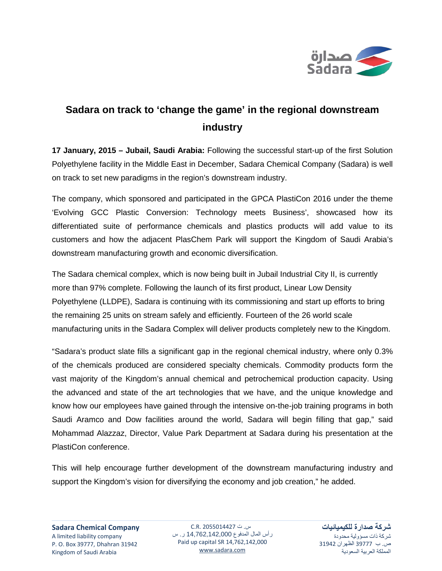

## **Sadara on track to 'change the game' in the regional downstream industry**

**17 January, 2015 – Jubail, Saudi Arabia:** Following the successful start-up of the first Solution Polyethylene facility in the Middle East in December, Sadara Chemical Company (Sadara) is well on track to set new paradigms in the region's downstream industry.

The company, which sponsored and participated in the GPCA PlastiCon 2016 under the theme 'Evolving GCC Plastic Conversion: Technology meets Business', showcased how its differentiated suite of performance chemicals and plastics products will add value to its customers and how the adjacent PlasChem Park will support the Kingdom of Saudi Arabia's downstream manufacturing growth and economic diversification.

The Sadara chemical complex, which is now being built in Jubail Industrial City II, is currently more than 97% complete. Following the launch of its first product, Linear Low Density Polyethylene (LLDPE), Sadara is continuing with its commissioning and start up efforts to bring the remaining 25 units on stream safely and efficiently. Fourteen of the 26 world scale manufacturing units in the Sadara Complex will deliver products completely new to the Kingdom.

"Sadara's product slate fills a significant gap in the regional chemical industry, where only 0.3% of the chemicals produced are considered specialty chemicals. Commodity products form the vast majority of the Kingdom's annual chemical and petrochemical production capacity. Using the advanced and state of the art technologies that we have, and the unique knowledge and know how our employees have gained through the intensive on-the-job training programs in both Saudi Aramco and Dow facilities around the world, Sadara will begin filling that gap," said Mohammad Alazzaz, Director, Value Park Department at Sadara during his presentation at the PlastiCon conference.

This will help encourage further development of the downstream manufacturing industry and support the Kingdom's vision for diversifying the economy and job creation," he added.

س. ت 2055014427 .R.C رأس المال المدفوع 14,762,142,000 ر. س Paid up capital SR 14,762,142,000 [www.sadara.com](http://www.sadara.com/)